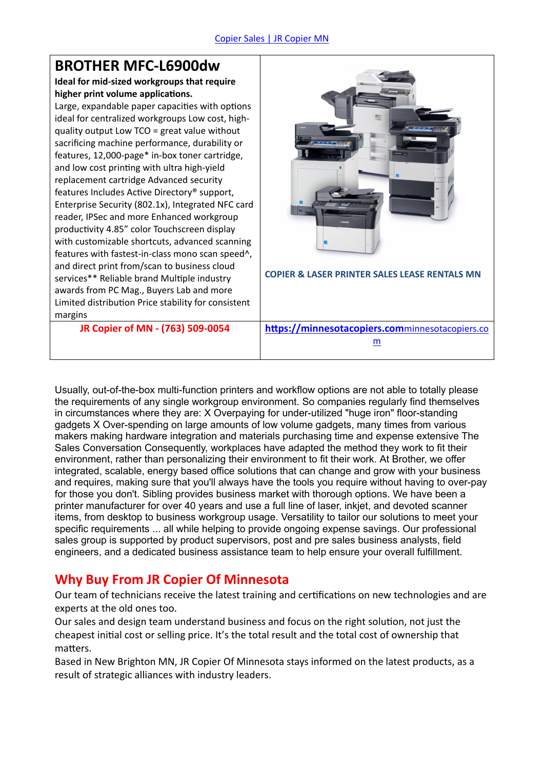#### **BROTHER MFC-L6900dw Ideal for mid-sized workgroups that require higher print volume applications.** Large, expandable paper capacities with options ideal for centralized workgroups Low cost, highquality output Low TCO = great value without sacrificing machine performance, durability or features, 12,000-page\* in-box toner cartridge, and low cost printing with ultra high-yield replacement cartridge Advanced security features Includes Active Directory® support, Enterprise Security (802.1x), Integrated NFC card reader, IPSec and more Enhanced workgroup productivity 4.85" color Touchscreen display with customizable shortcuts, advanced scanning features with fastest-in-class mono scan speed^, and direct print from/scan to business cloud services\*\* Reliable brand Multiple industry awards from PC Mag., Buyers Lab and more Limited distribution Price stability for consistent margins **COPIER & LASER PRINTER SALES LEASE RENTALS MN JR Copier of MN - (763) 509-0054 <https://minnesotacopiers.com>**minnesotacopiers.co m

Usually, out-of-the-box multi-function printers and workflow options are not able to totally please the requirements of any single workgroup environment. So companies regularly find themselves in circumstances where they are: X Overpaying for under-utilized "huge iron" floor-standing gadgets X Over-spending on large amounts of low volume gadgets, many times from various makers making hardware integration and materials purchasing time and expense extensive The Sales Conversation Consequently, workplaces have adapted the method they work to fit their environment, rather than personalizing their environment to fit their work. At Brother, we offer integrated, scalable, energy based office solutions that can change and grow with your business and requires, making sure that you'll always have the tools you require without having to over-pay for those you don't. Sibling provides business market with thorough options. We have been a printer manufacturer for over 40 years and use a full line of laser, inkjet, and devoted scanner items, from desktop to business workgroup usage. Versatility to tailor our solutions to meet your specific requirements ... all while helping to provide ongoing expense savings. Our professional sales group is supported by product supervisors, post and pre sales business analysts, field engineers, and a dedicated business assistance team to help ensure your overall fulfillment.

#### **Why Buy From JR Copier Of Minnesota**

Our team of technicians receive the latest training and certifications on new technologies and are experts at the old ones too.

Our sales and design team understand business and focus on the right solution, not just the cheapest initial cost or selling price. It's the total result and the total cost of ownership that matters.

Based in New Brighton MN, JR Copier Of Minnesota stays informed on the latest products, as a result of strategic alliances with industry leaders.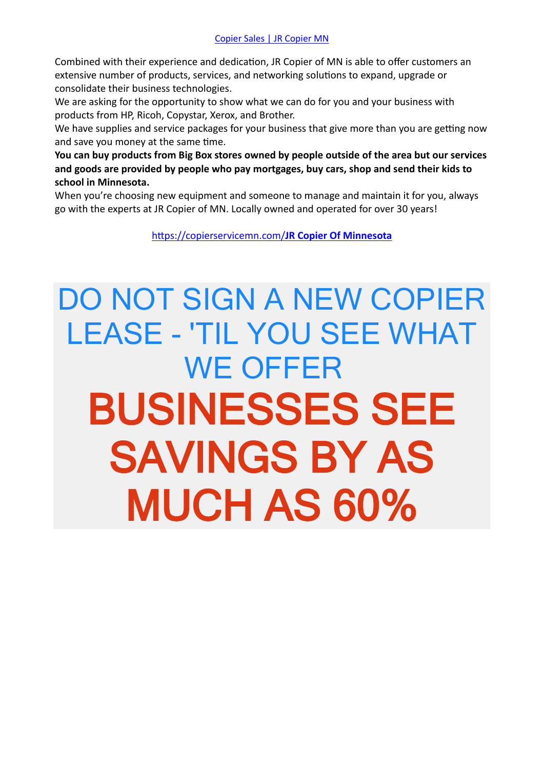Combined with their experience and dedication, JR Copier of MN is able to offer customers an extensive number of products, services, and networking solutions to expand, upgrade or consolidate their business technologies.

We are asking for the opportunity to show what we can do for you and your business with products from HP, Ricoh, Copystar, Xerox, and Brother.

We have supplies and service packages for your business that give more than you are getting now and save you money at the same time.

**You can buy products from Big Box stores owned by people outside of the area but our services and goods are provided by people who pay mortgages, buy cars, shop and send their kids to school in Minnesota.**

When you're choosing new equipment and someone to manage and maintain it for you, always go with the experts at JR Copier of MN. Locally owned and operated for over 30 years!

<https://copierservicemn.com/>**JR Copier Of Minnesota**

## DO NOT SIGN A NEW COPIER LEASE - 'TIL YOU SEE WHAT WE OFFER **BUSINESSES SEE SAVINGS BY AS MUCH AS 60%**